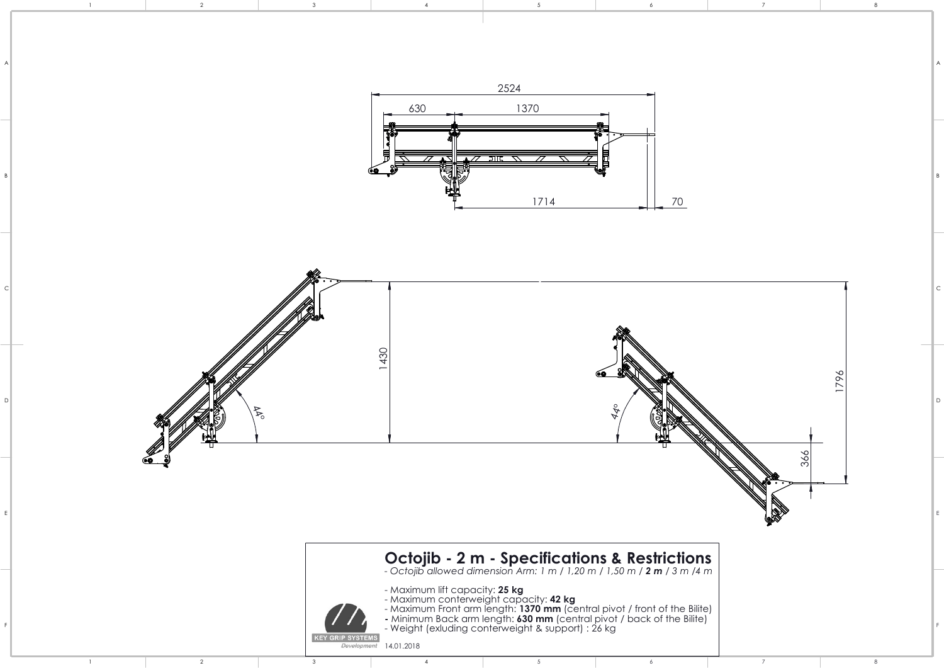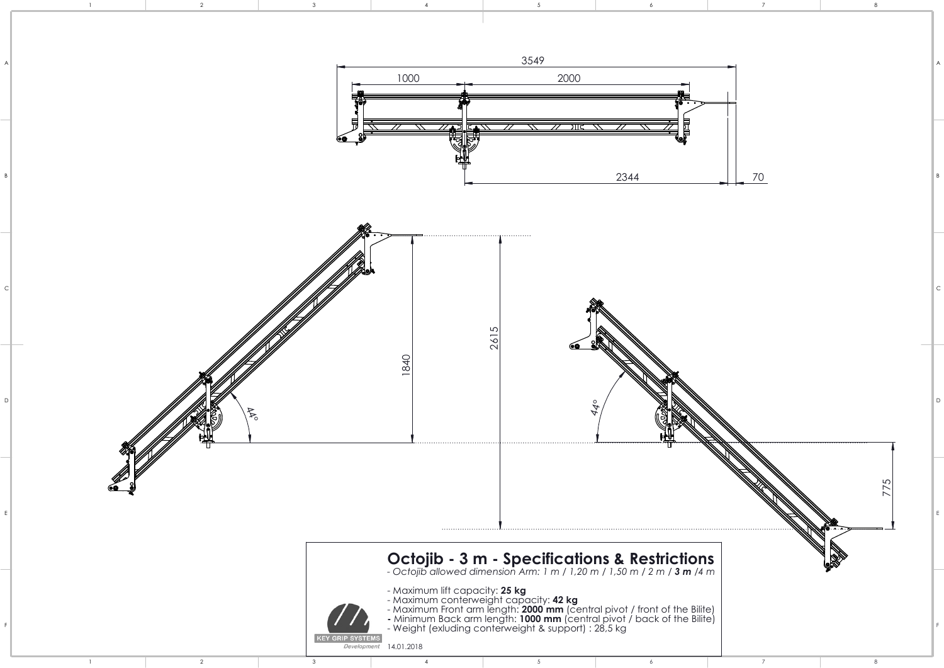